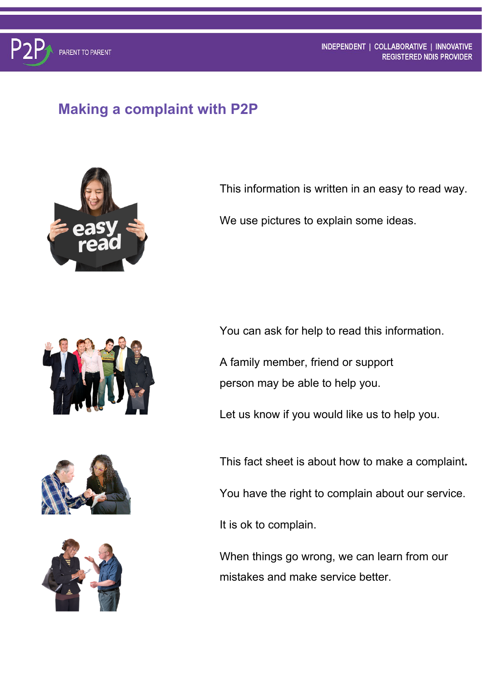## **Making a complaint with P2P**



This information is written in an easy to read way.

We use pictures to explain some ideas.







You can ask for help to read this information.

A family member, friend or support person may be able to help you.

Let us know if you would like us to help you.

This fact sheet is about how to make a complaint**.**

You have the right to complain about our service.

It is ok to complain.

When things go wrong, we can learn from our mistakes and make service better.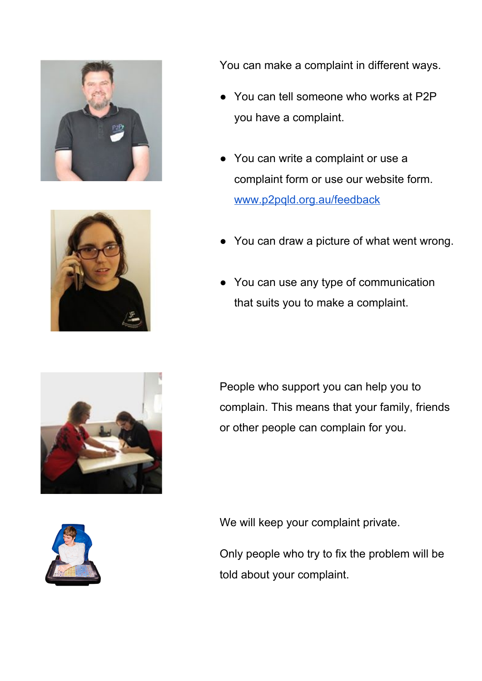



You can make a complaint in different ways.

- You can tell someone who works at P2P you have a complaint.
- You can write a complaint or use a complaint form or use our website form. [www.p2pqld.org.au/feedback](http://www.p2pqld.org.au/feedback)
- You can draw a picture of what went wrong.
- You can use any type of communication that suits you to make a complaint.

People who support you can help you to complain. This means that your family, friends or other people can complain for you.



We will keep your complaint private.

Only people who try to fix the problem will be told about your complaint.